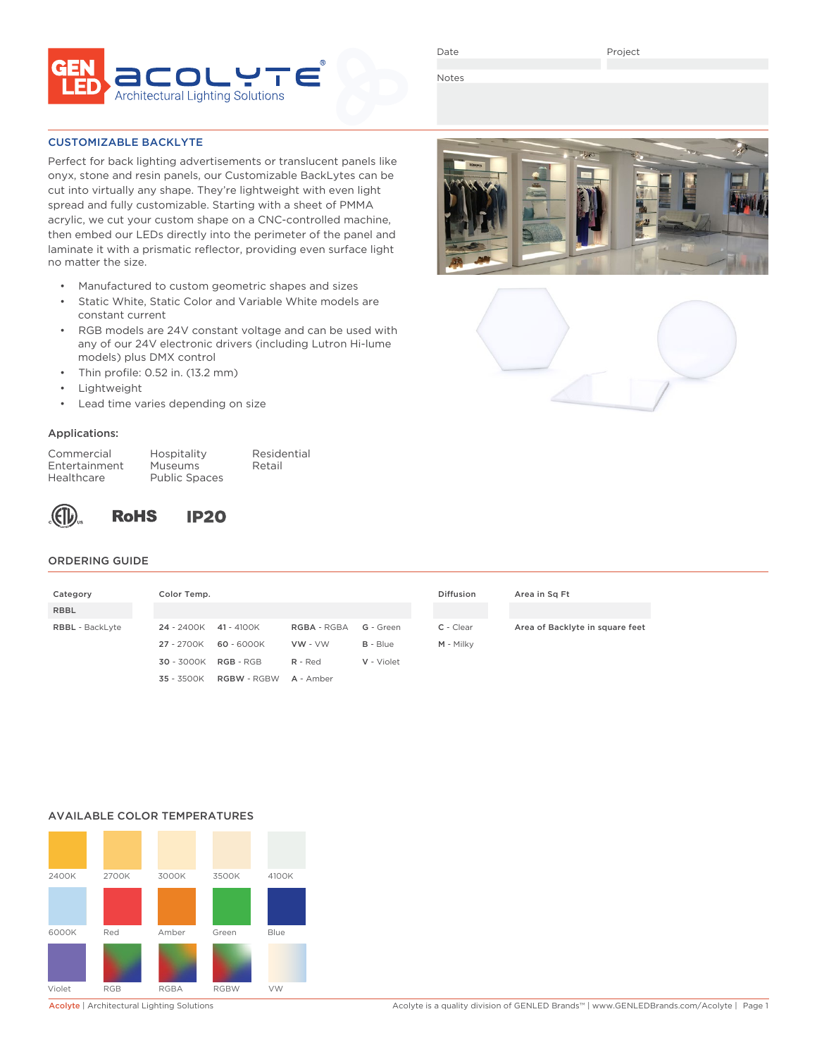

Date

Notes

### CUSTOMIZABLE BACKLYTE

Perfect for back lighting advertisements or translucent panels like onyx, stone and resin panels, our Customizable BackLytes can be cut into virtually any shape. They're lightweight with even light spread and fully customizable. Starting with a sheet of PMMA acrylic, we cut your custom shape on a CNC-controlled machine, then embed our LEDs directly into the perimeter of the panel and laminate it with a prismatic reflector, providing even surface light no matter the size.

- Manufactured to custom geometric shapes and sizes
- Static White, Static Color and Variable White models are constant current
- RGB models are 24V constant voltage and can be used with any of our 24V electronic drivers (including Lutron Hi-lume models) plus DMX control
- Thin profile: 0.52 in. (13.2 mm)
- **Lightweight**
- Lead time varies depending on size

## Applications:

| Commercial    |  |
|---------------|--|
| Entertainment |  |
| Healthcare    |  |

Hospitality Residential Museums Retail Public Spaces



## ORDERING GUIDE

| Category               | Color Temp. |                    |             |            | <b>Diffusion</b> | Area in Sq Ft                   |
|------------------------|-------------|--------------------|-------------|------------|------------------|---------------------------------|
| <b>RBBL</b>            |             |                    |             |            |                  |                                 |
| <b>RBBL</b> - BackLyte | 24 - 2400K  | 41 - 4100K         | RGBA - RGBA | G - Green  | C - Clear        | Area of Backlyte in square feet |
|                        | 27 - 2700K  | 60 - 6000K         | $VW - VW$   | $B - Blue$ | M - Milky        |                                 |
|                        | 30 - 3000K  | $RGB - RGB$        | $R - Red$   | V - Violet |                  |                                 |
|                        | 35 - 3500K  | <b>RGBW - RGBW</b> | A - Amber   |            |                  |                                 |

## AVAILABLE COLOR TEMPERATURES





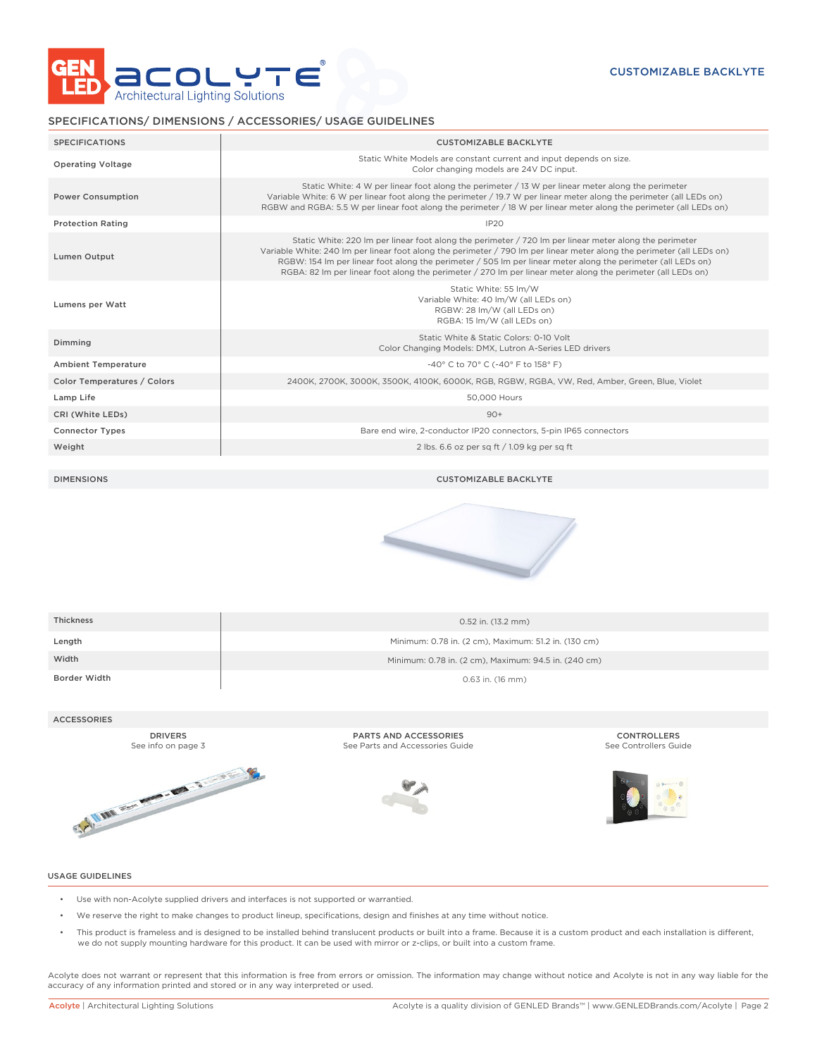

## SPECIFICATIONS/ DIMENSIONS / ACCESSORIES/ USAGE GUIDELINES

| <b>SPECIFICATIONS</b>       | <b>CUSTOMIZABLE BACKLYTE</b>                                                                                                                                                                                                                                                                                                                                                                                                                                    |
|-----------------------------|-----------------------------------------------------------------------------------------------------------------------------------------------------------------------------------------------------------------------------------------------------------------------------------------------------------------------------------------------------------------------------------------------------------------------------------------------------------------|
| <b>Operating Voltage</b>    | Static White Models are constant current and input depends on size.<br>Color changing models are 24V DC input.                                                                                                                                                                                                                                                                                                                                                  |
| <b>Power Consumption</b>    | Static White: 4 W per linear foot along the perimeter / 13 W per linear meter along the perimeter<br>Variable White: 6 W per linear foot along the perimeter / 19.7 W per linear meter along the perimeter (all LEDs on)<br>RGBW and RGBA: 5.5 W per linear foot along the perimeter / 18 W per linear meter along the perimeter (all LEDs on)                                                                                                                  |
| <b>Protection Rating</b>    | IP <sub>20</sub>                                                                                                                                                                                                                                                                                                                                                                                                                                                |
| <b>Lumen Output</b>         | Static White: 220 Im per linear foot along the perimeter / 720 Im per linear meter along the perimeter<br>Variable White: 240 Im per linear foot along the perimeter / 790 Im per linear meter along the perimeter (all LEDs on)<br>RGBW: 154 Im per linear foot along the perimeter / 505 Im per linear meter along the perimeter (all LEDs on)<br>RGBA: 82 Im per linear foot along the perimeter / 270 Im per linear meter along the perimeter (all LEDs on) |
| Lumens per Watt             | Static White: 55 Im/W<br>Variable White: 40 lm/W (all LEDs on)<br>RGBW: 28 lm/W (all LEDs on)<br>RGBA: 15 lm/W (all LEDs on)                                                                                                                                                                                                                                                                                                                                    |
| Dimming                     | Static White & Static Colors: 0-10 Volt<br>Color Changing Models: DMX, Lutron A-Series LED drivers                                                                                                                                                                                                                                                                                                                                                              |
| <b>Ambient Temperature</b>  | -40° C to 70° C (-40° F to 158° F)                                                                                                                                                                                                                                                                                                                                                                                                                              |
| Color Temperatures / Colors | 2400K, 2700K, 3000K, 3500K, 4100K, 6000K, RGB, RGBW, RGBA, VW, Red, Amber, Green, Blue, Violet                                                                                                                                                                                                                                                                                                                                                                  |
| Lamp Life                   | 50,000 Hours                                                                                                                                                                                                                                                                                                                                                                                                                                                    |
| CRI (White LEDs)            | $90+$                                                                                                                                                                                                                                                                                                                                                                                                                                                           |
| <b>Connector Types</b>      | Bare end wire, 2-conductor IP20 connectors, 5-pin IP65 connectors                                                                                                                                                                                                                                                                                                                                                                                               |
| Weight                      | 2 lbs. 6.6 oz per sa ft / 1.09 kg per sa ft                                                                                                                                                                                                                                                                                                                                                                                                                     |
|                             |                                                                                                                                                                                                                                                                                                                                                                                                                                                                 |

DIMENSIONS CUSTOMIZABLE BACKLYTE



| <b>Thickness</b> | 0.52 in. (13.2 mm)                                   |
|------------------|------------------------------------------------------|
| Length           | Minimum: 0.78 in. (2 cm), Maximum: 51.2 in. (130 cm) |
| Width            | Minimum: 0.78 in. (2 cm), Maximum: 94.5 in. (240 cm) |
| Border Width     | $0.63$ in. (16 mm)                                   |

### ACCESSORIES

DRIVERS See info on page 3



PARTS AND ACCESSORIES See Parts and Accessories Guide



CONTROLLERS See Controllers Guide



#### USAGE GUIDELINES

- Use with non-Acolyte supplied drivers and interfaces is not supported or warrantied.
- We reserve the right to make changes to product lineup, specifications, design and finishes at any time without notice.
- This product is frameless and is designed to be installed behind translucent products or built into a frame. Because it is a custom product and each installation is different, we do not supply mounting hardware for this product. It can be used with mirror or z-clips, or built into a custom frame.

Acolyte does not warrant or represent that this information is free from errors or omission. The information may change without notice and Acolyte is not in any way liable for the accuracy of any information printed and stored or in any way interpreted or used.